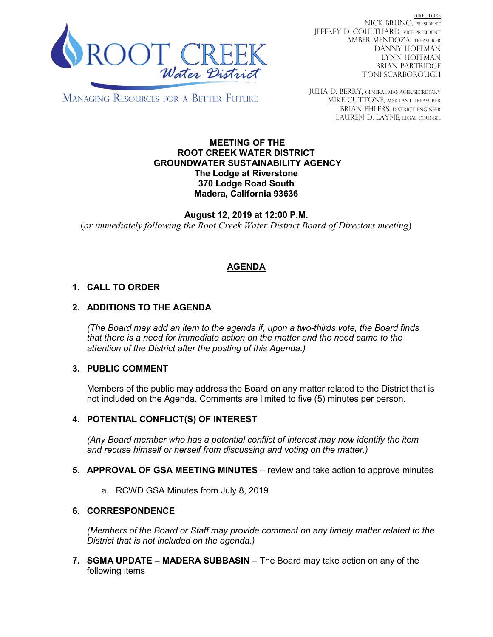

DIRECTORS NICK BRUNO, PRESIDENT JEFFREY D. COULTHARD, Vice President AMBER MENDOZA, TREASURER DANNY HOFFMAN LYNN HOFFMAN BRIAN PARTRIDGE TONI SCARBOROUGH

MANAGING RESOURCES FOR A BETTER FUTURE

JULIA D. BERRY, GENERAL MANAGER/secretary MIKE CUTTONE, Assistant treasurer BRIAN EHLERS, DISTRICT ENGINEER LAUREN D. LAYNE, LEGAL COUNSEL

#### **MEETING OF THE ROOT CREEK WATER DISTRICT GROUNDWATER SUSTAINABILITY AGENCY The Lodge at Riverstone 370 Lodge Road South Madera, California 93636**

**August 12, 2019 at 12:00 P.M.** (*or immediately following the Root Creek Water District Board of Directors meeting*)

# **AGENDA**

## **1. CALL TO ORDER**

## **2. ADDITIONS TO THE AGENDA**

*(The Board may add an item to the agenda if, upon a two-thirds vote, the Board finds that there is a need for immediate action on the matter and the need came to the attention of the District after the posting of this Agenda.)*

#### **3. PUBLIC COMMENT**

Members of the public may address the Board on any matter related to the District that is not included on the Agenda. Comments are limited to five (5) minutes per person.

#### **4. POTENTIAL CONFLICT(S) OF INTEREST**

*(Any Board member who has a potential conflict of interest may now identify the item and recuse himself or herself from discussing and voting on the matter.)*

- **5. APPROVAL OF GSA MEETING MINUTES** review and take action to approve minutes
	- a. RCWD GSA Minutes from July 8, 2019

#### **6. CORRESPONDENCE**

*(Members of the Board or Staff may provide comment on any timely matter related to the District that is not included on the agenda.)*

**7. SGMA UPDATE – MADERA SUBBASIN** – The Board may take action on any of the following items